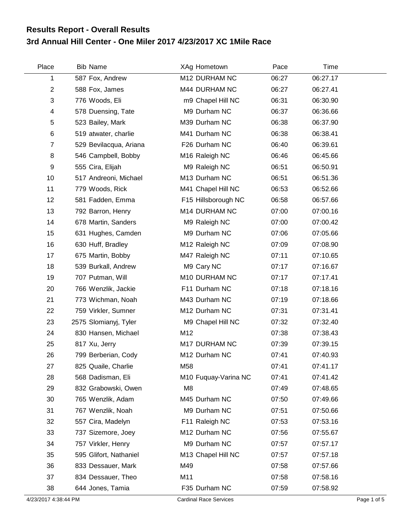## **3rd Annual Hill Center - One Miler 2017 4/23/2017 XC 1Mile Race Results Report - Overall Results**

| Place          | <b>Bib Name</b>        | XAg Hometown         | Pace  | Time     |  |
|----------------|------------------------|----------------------|-------|----------|--|
| 1              | 587 Fox, Andrew        | M12 DURHAM NC        | 06:27 | 06:27.17 |  |
| $\mathbf{2}$   | 588 Fox, James         | M44 DURHAM NC        | 06:27 | 06:27.41 |  |
| 3              | 776 Woods, Eli         | m9 Chapel Hill NC    | 06:31 | 06:30.90 |  |
| 4              | 578 Duensing, Tate     | M9 Durham NC         | 06:37 | 06:36.66 |  |
| 5              | 523 Bailey, Mark       | M39 Durham NC        | 06:38 | 06:37.90 |  |
| 6              | 519 atwater, charlie   | M41 Durham NC        | 06:38 | 06:38.41 |  |
| $\overline{7}$ | 529 Bevilacqua, Ariana | F26 Durham NC        | 06:40 | 06:39.61 |  |
| 8              | 546 Campbell, Bobby    | M16 Raleigh NC       | 06:46 | 06:45.66 |  |
| 9              | 555 Cira, Elijah       | M9 Raleigh NC        | 06:51 | 06:50.91 |  |
| 10             | 517 Andreoni, Michael  | M13 Durham NC        | 06:51 | 06:51.36 |  |
| 11             | 779 Woods, Rick        | M41 Chapel Hill NC   | 06:53 | 06:52.66 |  |
| 12             | 581 Fadden, Emma       | F15 Hillsborough NC  | 06:58 | 06:57.66 |  |
| 13             | 792 Barron, Henry      | M14 DURHAM NC        | 07:00 | 07:00.16 |  |
| 14             | 678 Martin, Sanders    | M9 Raleigh NC        | 07:00 | 07:00.42 |  |
| 15             | 631 Hughes, Camden     | M9 Durham NC         | 07:06 | 07:05.66 |  |
| 16             | 630 Huff, Bradley      | M12 Raleigh NC       | 07:09 | 07:08.90 |  |
| 17             | 675 Martin, Bobby      | M47 Raleigh NC       | 07:11 | 07:10.65 |  |
| 18             | 539 Burkall, Andrew    | M9 Cary NC           | 07:17 | 07:16.67 |  |
| 19             | 707 Putman, Will       | M10 DURHAM NC        | 07:17 | 07:17.41 |  |
| 20             | 766 Wenzlik, Jackie    | F11 Durham NC        | 07:18 | 07:18.16 |  |
| 21             | 773 Wichman, Noah      | M43 Durham NC        | 07:19 | 07:18.66 |  |
| 22             | 759 Virkler, Sumner    | M12 Durham NC        | 07:31 | 07:31.41 |  |
| 23             | 2575 Slomianyj, Tyler  | M9 Chapel Hill NC    | 07:32 | 07:32.40 |  |
| 24             | 830 Hansen, Michael    | M12                  | 07:38 | 07:38.43 |  |
| 25             | 817 Xu, Jerry          | M17 DURHAM NC        | 07:39 | 07:39.15 |  |
| 26             | 799 Berberian, Cody    | M12 Durham NC        | 07:41 | 07:40.93 |  |
| 27             | 825 Quaile, Charlie    | M58                  | 07:41 | 07:41.17 |  |
| 28             | 568 Dadisman, Eli      | M10 Fuquay-Varina NC | 07:41 | 07:41.42 |  |
| 29             | 832 Grabowski, Owen    | M8                   | 07:49 | 07:48.65 |  |
| 30             | 765 Wenzlik, Adam      | M45 Durham NC        | 07:50 | 07:49.66 |  |
| 31             | 767 Wenzlik, Noah      | M9 Durham NC         | 07:51 | 07:50.66 |  |
| 32             | 557 Cira, Madelyn      | F11 Raleigh NC       | 07:53 | 07:53.16 |  |
| 33             | 737 Sizemore, Joey     | M12 Durham NC        | 07:56 | 07:55.67 |  |
| 34             | 757 Virkler, Henry     | M9 Durham NC         | 07:57 | 07:57.17 |  |
| 35             | 595 Glifort, Nathaniel | M13 Chapel Hill NC   | 07:57 | 07:57.18 |  |
| 36             | 833 Dessauer, Mark     | M49                  | 07:58 | 07:57.66 |  |
| 37             | 834 Dessauer, Theo     | M11                  | 07:58 | 07:58.16 |  |
| 38             | 644 Jones, Tamia       | F35 Durham NC        | 07:59 | 07:58.92 |  |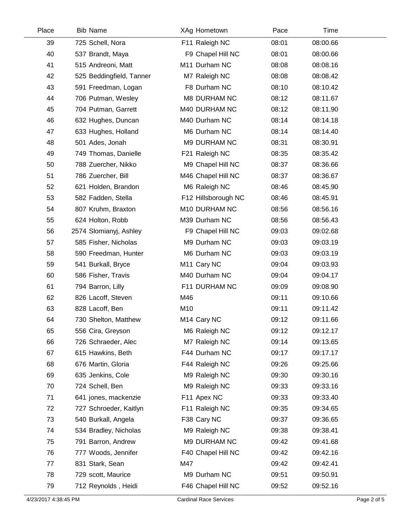| Place | <b>Bib Name</b>          | XAg Hometown            | Pace  | Time     |  |
|-------|--------------------------|-------------------------|-------|----------|--|
| 39    | 725 Schell, Nora         | F11 Raleigh NC          | 08:01 | 08:00.66 |  |
| 40    | 537 Brandt, Maya         | F9 Chapel Hill NC       | 08:01 | 08:00.66 |  |
| 41    | 515 Andreoni, Matt       | M11 Durham NC           | 08:08 | 08:08.16 |  |
| 42    | 525 Beddingfield, Tanner | M7 Raleigh NC           | 08:08 | 08:08.42 |  |
| 43    | 591 Freedman, Logan      | F8 Durham NC            | 08:10 | 08:10.42 |  |
| 44    | 706 Putman, Wesley       | M8 DURHAM NC            | 08:12 | 08:11.67 |  |
| 45    | 704 Putman, Garrett      | M40 DURHAM NC           | 08:12 | 08:11.90 |  |
| 46    | 632 Hughes, Duncan       | M40 Durham NC           | 08:14 | 08:14.18 |  |
| 47    | 633 Hughes, Holland      | M6 Durham NC            | 08:14 | 08:14.40 |  |
| 48    | 501 Ades, Jonah          | M9 DURHAM NC            | 08:31 | 08:30.91 |  |
| 49    | 749 Thomas, Danielle     | F21 Raleigh NC          | 08:35 | 08:35.42 |  |
| 50    | 788 Zuercher, Nikko      | M9 Chapel Hill NC       | 08:37 | 08:36.66 |  |
| 51    | 786 Zuercher, Bill       | M46 Chapel Hill NC      | 08:37 | 08:36.67 |  |
| 52    | 621 Holden, Brandon      | M6 Raleigh NC           | 08:46 | 08:45.90 |  |
| 53    | 582 Fadden, Stella       | F12 Hillsborough NC     | 08:46 | 08:45.91 |  |
| 54    | 807 Kruhm, Braxton       | M10 DURHAM NC           | 08:56 | 08:56.16 |  |
| 55    | 624 Holton, Robb         | M39 Durham NC           | 08:56 | 08:56.43 |  |
| 56    | 2574 Slomianyj, Ashley   | F9 Chapel Hill NC       | 09:03 | 09:02.68 |  |
| 57    | 585 Fisher, Nicholas     | M9 Durham NC            | 09:03 | 09:03.19 |  |
| 58    | 590 Freedman, Hunter     | M6 Durham NC            | 09:03 | 09:03.19 |  |
| 59    | 541 Burkall, Bryce       | M <sub>11</sub> Cary NC | 09:04 | 09:03.93 |  |
| 60    | 586 Fisher, Travis       | M40 Durham NC           | 09:04 | 09:04.17 |  |
| 61    | 794 Barron, Lilly        | F11 DURHAM NC           | 09:09 | 09:08.90 |  |
| 62    | 826 Lacoff, Steven       | M46                     | 09:11 | 09:10.66 |  |
| 63    | 828 Lacoff, Ben          | M10                     | 09:11 | 09:11.42 |  |
| 64    | 730 Shelton, Matthew     | M <sub>14</sub> Cary NC | 09:12 | 09:11.66 |  |
| 65    | 556 Cira, Greyson        | M6 Raleigh NC           | 09:12 | 09:12.17 |  |
| 66    | 726 Schraeder, Alec      | M7 Raleigh NC           | 09:14 | 09:13.65 |  |
| 67    | 615 Hawkins, Beth        | F44 Durham NC           | 09:17 | 09:17.17 |  |
| 68    | 676 Martin, Gloria       | F44 Raleigh NC          | 09:26 | 09:25.66 |  |
| 69    | 635 Jenkins, Cole        | M9 Raleigh NC           | 09:30 | 09:30.16 |  |
| 70    | 724 Schell, Ben          | M9 Raleigh NC           | 09:33 | 09:33.16 |  |
| 71    | 641 jones, mackenzie     | F11 Apex NC             | 09:33 | 09:33.40 |  |
| 72    | 727 Schroeder, Kaitlyn   | F11 Raleigh NC          | 09:35 | 09:34.65 |  |
| 73    | 540 Burkall, Angela      | F38 Cary NC             | 09:37 | 09:36.65 |  |
| 74    | 534 Bradley, Nicholas    | M9 Raleigh NC           | 09:38 | 09:38.41 |  |
| 75    | 791 Barron, Andrew       | M9 DURHAM NC            | 09:42 | 09:41.68 |  |
| 76    | 777 Woods, Jennifer      | F40 Chapel Hill NC      | 09:42 | 09:42.16 |  |
| 77    | 831 Stark, Sean          | M47                     | 09:42 | 09:42.41 |  |
| 78    | 729 scott, Maurice       | M9 Durham NC            | 09:51 | 09:50.91 |  |
| 79    | 712 Reynolds, Heidi      | F46 Chapel Hill NC      | 09:52 | 09:52.16 |  |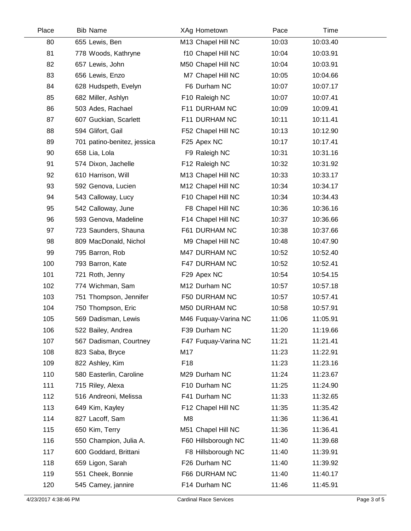| Place | <b>Bib Name</b>             | XAg Hometown         | Pace  | Time     |  |
|-------|-----------------------------|----------------------|-------|----------|--|
| 80    | 655 Lewis, Ben              | M13 Chapel Hill NC   | 10:03 | 10:03.40 |  |
| 81    | 778 Woods, Kathryne         | f10 Chapel Hill NC   | 10:04 | 10:03.91 |  |
| 82    | 657 Lewis, John             | M50 Chapel Hill NC   | 10:04 | 10:03.91 |  |
| 83    | 656 Lewis, Enzo             | M7 Chapel Hill NC    | 10:05 | 10:04.66 |  |
| 84    | 628 Hudspeth, Evelyn        | F6 Durham NC         | 10:07 | 10:07.17 |  |
| 85    | 682 Miller, Ashlyn          | F10 Raleigh NC       | 10:07 | 10:07.41 |  |
| 86    | 503 Ades, Rachael           | F11 DURHAM NC        | 10:09 | 10:09.41 |  |
| 87    | 607 Guckian, Scarlett       | F11 DURHAM NC        | 10:11 | 10:11.41 |  |
| 88    | 594 Glifort, Gail           | F52 Chapel Hill NC   | 10:13 | 10:12.90 |  |
| 89    | 701 patino-benitez, jessica | F25 Apex NC          | 10:17 | 10:17.41 |  |
| 90    | 658 Lia, Lola               | F9 Raleigh NC        | 10:31 | 10:31.16 |  |
| 91    | 574 Dixon, Jachelle         | F12 Raleigh NC       | 10:32 | 10:31.92 |  |
| 92    | 610 Harrison, Will          | M13 Chapel Hill NC   | 10:33 | 10:33.17 |  |
| 93    | 592 Genova, Lucien          | M12 Chapel Hill NC   | 10:34 | 10:34.17 |  |
| 94    | 543 Calloway, Lucy          | F10 Chapel Hill NC   | 10:34 | 10:34.43 |  |
| 95    | 542 Calloway, June          | F8 Chapel Hill NC    | 10:36 | 10:36.16 |  |
| 96    | 593 Genova, Madeline        | F14 Chapel Hill NC   | 10:37 | 10:36.66 |  |
| 97    | 723 Saunders, Shauna        | F61 DURHAM NC        | 10:38 | 10:37.66 |  |
| 98    | 809 MacDonald, Nichol       | M9 Chapel Hill NC    | 10:48 | 10:47.90 |  |
| 99    | 795 Barron, Rob             | M47 DURHAM NC        | 10:52 | 10:52.40 |  |
| 100   | 793 Barron, Kate            | F47 DURHAM NC        | 10:52 | 10:52.41 |  |
| 101   | 721 Roth, Jenny             | F29 Apex NC          | 10:54 | 10:54.15 |  |
| 102   | 774 Wichman, Sam            | M12 Durham NC        | 10:57 | 10:57.18 |  |
| 103   | 751 Thompson, Jennifer      | F50 DURHAM NC        | 10:57 | 10:57.41 |  |
| 104   | 750 Thompson, Eric          | M50 DURHAM NC        | 10:58 | 10:57.91 |  |
| 105   | 569 Dadisman, Lewis         | M46 Fuquay-Varina NC | 11:06 | 11:05.91 |  |
| 106   | 522 Bailey, Andrea          | F39 Durham NC        | 11:20 | 11:19.66 |  |
| 107   | 567 Dadisman, Courtney      | F47 Fuquay-Varina NC | 11:21 | 11:21.41 |  |
| 108   | 823 Saba, Bryce             | M17                  | 11:23 | 11:22.91 |  |
| 109   | 822 Ashley, Kim             | F18                  | 11:23 | 11:23.16 |  |
| 110   | 580 Easterlin, Caroline     | M29 Durham NC        | 11:24 | 11:23.67 |  |
| 111   | 715 Riley, Alexa            | F10 Durham NC        | 11:25 | 11:24.90 |  |
| 112   | 516 Andreoni, Melissa       | F41 Durham NC        | 11:33 | 11:32.65 |  |
| 113   | 649 Kim, Kayley             | F12 Chapel Hill NC   | 11:35 | 11:35.42 |  |
| 114   | 827 Lacoff, Sam             | M <sub>8</sub>       | 11:36 | 11:36.41 |  |
| 115   | 650 Kim, Terry              | M51 Chapel Hill NC   | 11:36 | 11:36.41 |  |
| 116   | 550 Champion, Julia A.      | F60 Hillsborough NC  | 11:40 | 11:39.68 |  |
| 117   | 600 Goddard, Brittani       | F8 Hillsborough NC   | 11:40 | 11:39.91 |  |
| 118   | 659 Ligon, Sarah            | F26 Durham NC        | 11:40 | 11:39.92 |  |
| 119   | 551 Cheek, Bonnie           | F66 DURHAM NC        | 11:40 | 11:40.17 |  |
| 120   | 545 Camey, jannire          | F14 Durham NC        | 11:46 | 11:45.91 |  |
|       |                             |                      |       |          |  |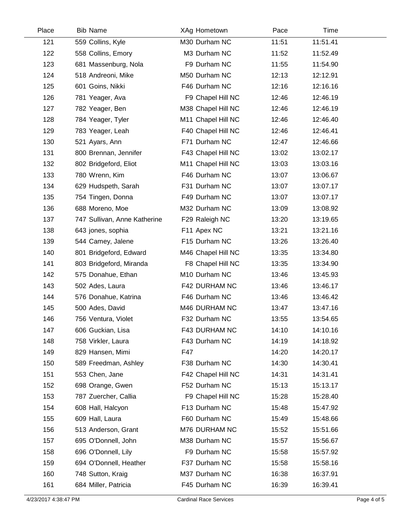| Place | <b>Bib Name</b>              | XAg Hometown       | Pace  | Time     |  |
|-------|------------------------------|--------------------|-------|----------|--|
| 121   | 559 Collins, Kyle            | M30 Durham NC      | 11:51 | 11:51.41 |  |
| 122   | 558 Collins, Emory           | M3 Durham NC       | 11:52 | 11:52.49 |  |
| 123   | 681 Massenburg, Nola         | F9 Durham NC       | 11:55 | 11:54.90 |  |
| 124   | 518 Andreoni, Mike           | M50 Durham NC      | 12:13 | 12:12.91 |  |
| 125   | 601 Goins, Nikki             | F46 Durham NC      | 12:16 | 12:16.16 |  |
| 126   | 781 Yeager, Ava              | F9 Chapel Hill NC  | 12:46 | 12:46.19 |  |
| 127   | 782 Yeager, Ben              | M38 Chapel Hill NC | 12:46 | 12:46.19 |  |
| 128   | 784 Yeager, Tyler            | M11 Chapel Hill NC | 12:46 | 12:46.40 |  |
| 129   | 783 Yeager, Leah             | F40 Chapel Hill NC | 12:46 | 12:46.41 |  |
| 130   | 521 Ayars, Ann               | F71 Durham NC      | 12:47 | 12:46.66 |  |
| 131   | 800 Brennan, Jennifer        | F43 Chapel Hill NC | 13:02 | 13:02.17 |  |
| 132   | 802 Bridgeford, Eliot        | M11 Chapel Hill NC | 13:03 | 13:03.16 |  |
| 133   | 780 Wrenn, Kim               | F46 Durham NC      | 13:07 | 13:06.67 |  |
| 134   | 629 Hudspeth, Sarah          | F31 Durham NC      | 13:07 | 13:07.17 |  |
| 135   | 754 Tingen, Donna            | F49 Durham NC      | 13:07 | 13:07.17 |  |
| 136   | 688 Moreno, Moe              | M32 Durham NC      | 13:09 | 13:08.92 |  |
| 137   | 747 Sullivan, Anne Katherine | F29 Raleigh NC     | 13:20 | 13:19.65 |  |
| 138   | 643 jones, sophia            | F11 Apex NC        | 13:21 | 13:21.16 |  |
| 139   | 544 Camey, Jalene            | F15 Durham NC      | 13:26 | 13:26.40 |  |
| 140   | 801 Bridgeford, Edward       | M46 Chapel Hill NC | 13:35 | 13:34.80 |  |
| 141   | 803 Bridgeford, Miranda      | F8 Chapel Hill NC  | 13:35 | 13:34.90 |  |
| 142   | 575 Donahue, Ethan           | M10 Durham NC      | 13:46 | 13:45.93 |  |
| 143   | 502 Ades, Laura              | F42 DURHAM NC      | 13:46 | 13:46.17 |  |
| 144   | 576 Donahue, Katrina         | F46 Durham NC      | 13:46 | 13:46.42 |  |
| 145   | 500 Ades, David              | M46 DURHAM NC      | 13:47 | 13:47.16 |  |
| 146   | 756 Ventura, Violet          | F32 Durham NC      | 13:55 | 13:54.65 |  |
| 147   | 606 Guckian, Lisa            | F43 DURHAM NC      | 14:10 | 14:10.16 |  |
| 148   | 758 Virkler, Laura           | F43 Durham NC      | 14:19 | 14:18.92 |  |
| 149   | 829 Hansen, Mimi             | F47                | 14:20 | 14:20.17 |  |
| 150   | 589 Freedman, Ashley         | F38 Durham NC      | 14:30 | 14:30.41 |  |
| 151   | 553 Chen, Jane               | F42 Chapel Hill NC | 14:31 | 14:31.41 |  |
| 152   | 698 Orange, Gwen             | F52 Durham NC      | 15:13 | 15:13.17 |  |
| 153   | 787 Zuercher, Callia         | F9 Chapel Hill NC  | 15:28 | 15:28.40 |  |
| 154   | 608 Hall, Halcyon            | F13 Durham NC      | 15:48 | 15:47.92 |  |
| 155   | 609 Hall, Laura              | F60 Durham NC      | 15:49 | 15:48.66 |  |
| 156   | 513 Anderson, Grant          | M76 DURHAM NC      | 15:52 | 15:51.66 |  |
| 157   | 695 O'Donnell, John          | M38 Durham NC      | 15:57 | 15:56.67 |  |
| 158   | 696 O'Donnell, Lily          | F9 Durham NC       | 15:58 | 15:57.92 |  |
| 159   | 694 O'Donnell, Heather       | F37 Durham NC      | 15:58 | 15:58.16 |  |
| 160   | 748 Sutton, Kraig            | M37 Durham NC      | 16:38 | 16:37.91 |  |
| 161   | 684 Miller, Patricia         | F45 Durham NC      | 16:39 | 16:39.41 |  |